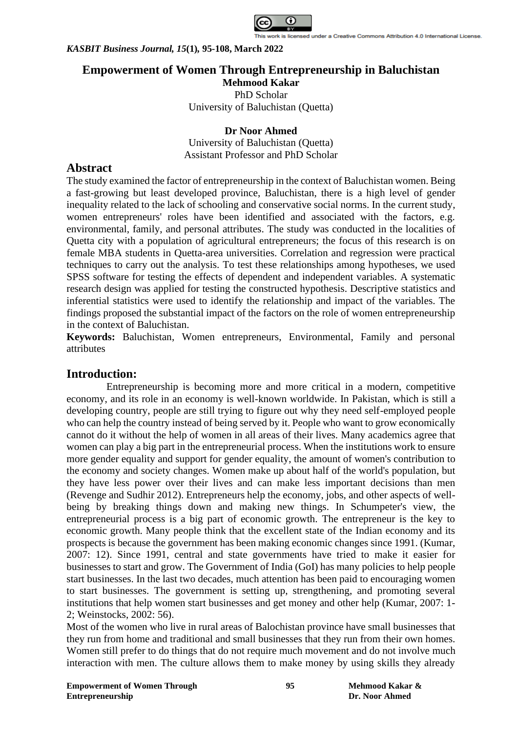

# **Empowerment of Women Through Entrepreneurship in Baluchistan**

**Mehmood Kakar** PhD Scholar University of Baluchistan (Quetta)

**Dr Noor Ahmed** University of Baluchistan (Quetta) Assistant Professor and PhD Scholar

# **Abstract**

The study examined the factor of entrepreneurship in the context of Baluchistan women. Being a fast-growing but least developed province, Baluchistan, there is a high level of gender inequality related to the lack of schooling and conservative social norms. In the current study, women entrepreneurs' roles have been identified and associated with the factors, e.g. environmental, family, and personal attributes. The study was conducted in the localities of Quetta city with a population of agricultural entrepreneurs; the focus of this research is on female MBA students in Quetta-area universities. Correlation and regression were practical techniques to carry out the analysis. To test these relationships among hypotheses, we used SPSS software for testing the effects of dependent and independent variables. A systematic research design was applied for testing the constructed hypothesis. Descriptive statistics and inferential statistics were used to identify the relationship and impact of the variables. The findings proposed the substantial impact of the factors on the role of women entrepreneurship in the context of Baluchistan.

**Keywords:** Baluchistan, Women entrepreneurs, Environmental, Family and personal attributes

# **Introduction:**

Entrepreneurship is becoming more and more critical in a modern, competitive economy, and its role in an economy is well-known worldwide. In Pakistan, which is still a developing country, people are still trying to figure out why they need self-employed people who can help the country instead of being served by it. People who want to grow economically cannot do it without the help of women in all areas of their lives. Many academics agree that women can play a big part in the entrepreneurial process. When the institutions work to ensure more gender equality and support for gender equality, the amount of women's contribution to the economy and society changes. Women make up about half of the world's population, but they have less power over their lives and can make less important decisions than men (Revenge and Sudhir 2012). Entrepreneurs help the economy, jobs, and other aspects of wellbeing by breaking things down and making new things. In Schumpeter's view, the entrepreneurial process is a big part of economic growth. The entrepreneur is the key to economic growth. Many people think that the excellent state of the Indian economy and its prospects is because the government has been making economic changes since 1991. (Kumar, 2007: 12). Since 1991, central and state governments have tried to make it easier for businesses to start and grow. The Government of India (GoI) has many policies to help people start businesses. In the last two decades, much attention has been paid to encouraging women to start businesses. The government is setting up, strengthening, and promoting several institutions that help women start businesses and get money and other help (Kumar, 2007: 1- 2; Weinstocks, 2002: 56).

Most of the women who live in rural areas of Balochistan province have small businesses that they run from home and traditional and small businesses that they run from their own homes. Women still prefer to do things that do not require much movement and do not involve much interaction with men. The culture allows them to make money by using skills they already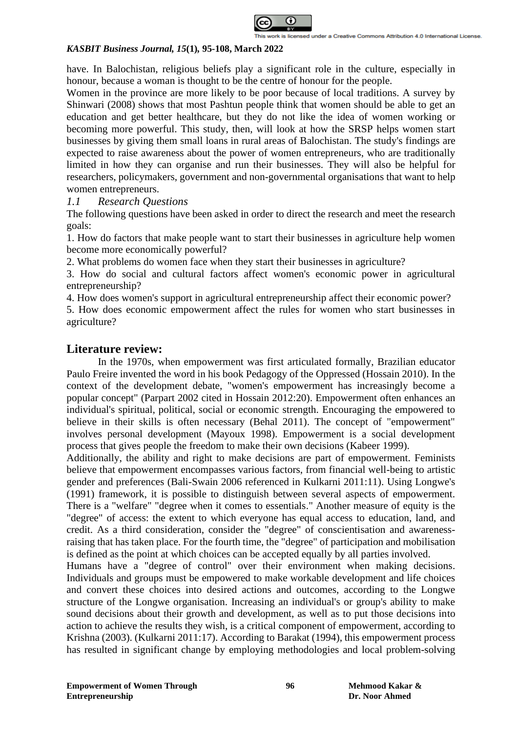

have. In Balochistan, religious beliefs play a significant role in the culture, especially in honour, because a woman is thought to be the centre of honour for the people.

Women in the province are more likely to be poor because of local traditions. A survey by Shinwari (2008) shows that most Pashtun people think that women should be able to get an education and get better healthcare, but they do not like the idea of women working or becoming more powerful. This study, then, will look at how the SRSP helps women start businesses by giving them small loans in rural areas of Balochistan. The study's findings are expected to raise awareness about the power of women entrepreneurs, who are traditionally limited in how they can organise and run their businesses. They will also be helpful for researchers, policymakers, government and non-governmental organisations that want to help women entrepreneurs.

## *1.1 Research Questions*

The following questions have been asked in order to direct the research and meet the research goals:

1. How do factors that make people want to start their businesses in agriculture help women become more economically powerful?

2. What problems do women face when they start their businesses in agriculture?

3. How do social and cultural factors affect women's economic power in agricultural entrepreneurship?

4. How does women's support in agricultural entrepreneurship affect their economic power?

5. How does economic empowerment affect the rules for women who start businesses in agriculture?

## **Literature review:**

In the 1970s, when empowerment was first articulated formally, Brazilian educator Paulo Freire invented the word in his book Pedagogy of the Oppressed (Hossain 2010). In the context of the development debate, "women's empowerment has increasingly become a popular concept" (Parpart 2002 cited in Hossain 2012:20). Empowerment often enhances an individual's spiritual, political, social or economic strength. Encouraging the empowered to believe in their skills is often necessary (Behal 2011). The concept of "empowerment" involves personal development (Mayoux 1998). Empowerment is a social development process that gives people the freedom to make their own decisions (Kabeer 1999).

Additionally, the ability and right to make decisions are part of empowerment. Feminists believe that empowerment encompasses various factors, from financial well-being to artistic gender and preferences (Bali-Swain 2006 referenced in Kulkarni 2011:11). Using Longwe's (1991) framework, it is possible to distinguish between several aspects of empowerment. There is a "welfare" "degree when it comes to essentials." Another measure of equity is the "degree" of access: the extent to which everyone has equal access to education, land, and credit. As a third consideration, consider the "degree" of conscientisation and awarenessraising that has taken place. For the fourth time, the "degree" of participation and mobilisation is defined as the point at which choices can be accepted equally by all parties involved.

Humans have a "degree of control" over their environment when making decisions. Individuals and groups must be empowered to make workable development and life choices and convert these choices into desired actions and outcomes, according to the Longwe structure of the Longwe organisation. Increasing an individual's or group's ability to make sound decisions about their growth and development, as well as to put those decisions into action to achieve the results they wish, is a critical component of empowerment, according to Krishna (2003). (Kulkarni 2011:17). According to Barakat (1994), this empowerment process has resulted in significant change by employing methodologies and local problem-solving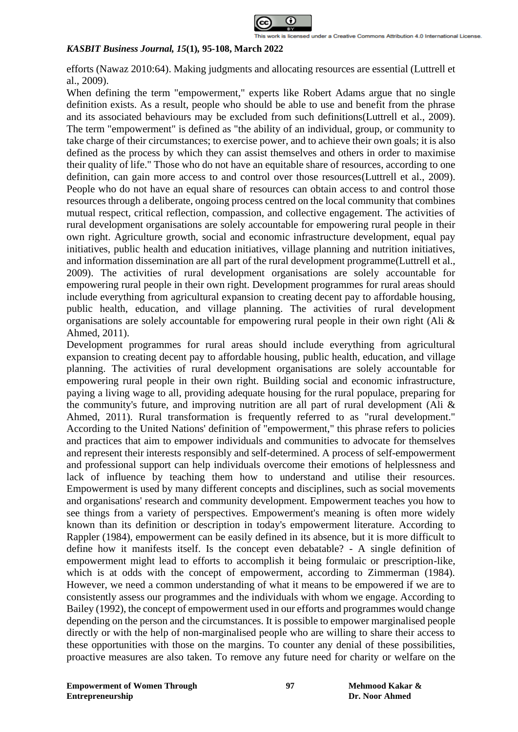

efforts (Nawaz 2010:64). Making judgments and allocating resources are essential (Luttrell et al., 2009).

When defining the term "empowerment," experts like Robert Adams argue that no single definition exists. As a result, people who should be able to use and benefit from the phrase and its associated behaviours may be excluded from such definitions(Luttrell et al., 2009). The term "empowerment" is defined as "the ability of an individual, group, or community to take charge of their circumstances; to exercise power, and to achieve their own goals; it is also defined as the process by which they can assist themselves and others in order to maximise their quality of life." Those who do not have an equitable share of resources, according to one definition, can gain more access to and control over those resources(Luttrell et al., 2009). People who do not have an equal share of resources can obtain access to and control those resources through a deliberate, ongoing process centred on the local community that combines mutual respect, critical reflection, compassion, and collective engagement. The activities of rural development organisations are solely accountable for empowering rural people in their own right. Agriculture growth, social and economic infrastructure development, equal pay initiatives, public health and education initiatives, village planning and nutrition initiatives, and information dissemination are all part of the rural development programme(Luttrell et al., 2009). The activities of rural development organisations are solely accountable for empowering rural people in their own right. Development programmes for rural areas should include everything from agricultural expansion to creating decent pay to affordable housing, public health, education, and village planning. The activities of rural development organisations are solely accountable for empowering rural people in their own right (Ali & Ahmed, 2011).

Development programmes for rural areas should include everything from agricultural expansion to creating decent pay to affordable housing, public health, education, and village planning. The activities of rural development organisations are solely accountable for empowering rural people in their own right. Building social and economic infrastructure, paying a living wage to all, providing adequate housing for the rural populace, preparing for the community's future, and improving nutrition are all part of rural development (Ali  $\&$ Ahmed, 2011). Rural transformation is frequently referred to as "rural development." According to the United Nations' definition of "empowerment," this phrase refers to policies and practices that aim to empower individuals and communities to advocate for themselves and represent their interests responsibly and self-determined. A process of self-empowerment and professional support can help individuals overcome their emotions of helplessness and lack of influence by teaching them how to understand and utilise their resources. Empowerment is used by many different concepts and disciplines, such as social movements and organisations' research and community development. Empowerment teaches you how to see things from a variety of perspectives. Empowerment's meaning is often more widely known than its definition or description in today's empowerment literature. According to Rappler (1984), empowerment can be easily defined in its absence, but it is more difficult to define how it manifests itself. Is the concept even debatable? - A single definition of empowerment might lead to efforts to accomplish it being formulaic or prescription-like, which is at odds with the concept of empowerment, according to Zimmerman (1984). However, we need a common understanding of what it means to be empowered if we are to consistently assess our programmes and the individuals with whom we engage. According to Bailey (1992), the concept of empowerment used in our efforts and programmes would change depending on the person and the circumstances. It is possible to empower marginalised people directly or with the help of non-marginalised people who are willing to share their access to these opportunities with those on the margins. To counter any denial of these possibilities, proactive measures are also taken. To remove any future need for charity or welfare on the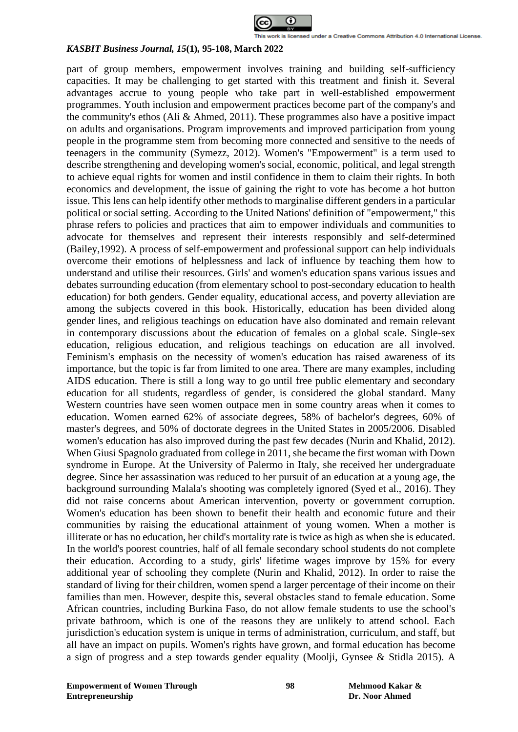

part of group members, empowerment involves training and building self-sufficiency capacities. It may be challenging to get started with this treatment and finish it. Several advantages accrue to young people who take part in well-established empowerment programmes. Youth inclusion and empowerment practices become part of the company's and the community's ethos (Ali & Ahmed, 2011). These programmes also have a positive impact on adults and organisations. Program improvements and improved participation from young people in the programme stem from becoming more connected and sensitive to the needs of teenagers in the community (Symezz, 2012). Women's "Empowerment" is a term used to describe strengthening and developing women's social, economic, political, and legal strength to achieve equal rights for women and instil confidence in them to claim their rights. In both economics and development, the issue of gaining the right to vote has become a hot button issue. This lens can help identify other methods to marginalise different genders in a particular political or social setting. According to the United Nations' definition of "empowerment," this phrase refers to policies and practices that aim to empower individuals and communities to advocate for themselves and represent their interests responsibly and self-determined (Bailey,1992). A process of self-empowerment and professional support can help individuals overcome their emotions of helplessness and lack of influence by teaching them how to understand and utilise their resources. Girls' and women's education spans various issues and debates surrounding education (from elementary school to post-secondary education to health education) for both genders. Gender equality, educational access, and poverty alleviation are among the subjects covered in this book. Historically, education has been divided along gender lines, and religious teachings on education have also dominated and remain relevant in contemporary discussions about the education of females on a global scale. Single-sex education, religious education, and religious teachings on education are all involved. Feminism's emphasis on the necessity of women's education has raised awareness of its importance, but the topic is far from limited to one area. There are many examples, including AIDS education. There is still a long way to go until free public elementary and secondary education for all students, regardless of gender, is considered the global standard. Many Western countries have seen women outpace men in some country areas when it comes to education. Women earned 62% of associate degrees, 58% of bachelor's degrees, 60% of master's degrees, and 50% of doctorate degrees in the United States in 2005/2006. Disabled women's education has also improved during the past few decades (Nurin and Khalid, 2012). When Giusi Spagnolo graduated from college in 2011, she became the first woman with Down syndrome in Europe. At the University of Palermo in Italy, she received her undergraduate degree. Since her assassination was reduced to her pursuit of an education at a young age, the background surrounding Malala's shooting was completely ignored (Syed et al., 2016). They did not raise concerns about American intervention, poverty or government corruption. Women's education has been shown to benefit their health and economic future and their communities by raising the educational attainment of young women. When a mother is illiterate or has no education, her child's mortality rate is twice as high as when she is educated. In the world's poorest countries, half of all female secondary school students do not complete their education. According to a study, girls' lifetime wages improve by 15% for every additional year of schooling they complete (Nurin and Khalid, 2012). In order to raise the standard of living for their children, women spend a larger percentage of their income on their families than men. However, despite this, several obstacles stand to female education. Some African countries, including Burkina Faso, do not allow female students to use the school's private bathroom, which is one of the reasons they are unlikely to attend school. Each jurisdiction's education system is unique in terms of administration, curriculum, and staff, but all have an impact on pupils. Women's rights have grown, and formal education has become a sign of progress and a step towards gender equality (Moolji, Gynsee & Stidla 2015). A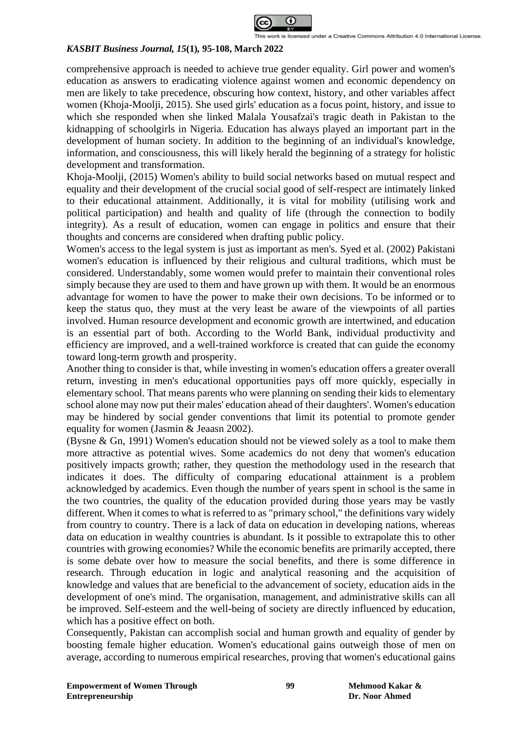

comprehensive approach is needed to achieve true gender equality. Girl power and women's education as answers to eradicating violence against women and economic dependency on men are likely to take precedence, obscuring how context, history, and other variables affect women (Khoja-Moolji, 2015). She used girls' education as a focus point, history, and issue to which she responded when she linked Malala Yousafzai's tragic death in Pakistan to the kidnapping of schoolgirls in Nigeria. Education has always played an important part in the development of human society. In addition to the beginning of an individual's knowledge, information, and consciousness, this will likely herald the beginning of a strategy for holistic development and transformation.

Khoja-Moolji, (2015) Women's ability to build social networks based on mutual respect and equality and their development of the crucial social good of self-respect are intimately linked to their educational attainment. Additionally, it is vital for mobility (utilising work and political participation) and health and quality of life (through the connection to bodily integrity). As a result of education, women can engage in politics and ensure that their thoughts and concerns are considered when drafting public policy.

Women's access to the legal system is just as important as men's. Syed et al. (2002) Pakistani women's education is influenced by their religious and cultural traditions, which must be considered. Understandably, some women would prefer to maintain their conventional roles simply because they are used to them and have grown up with them. It would be an enormous advantage for women to have the power to make their own decisions. To be informed or to keep the status quo, they must at the very least be aware of the viewpoints of all parties involved. Human resource development and economic growth are intertwined, and education is an essential part of both. According to the World Bank, individual productivity and efficiency are improved, and a well-trained workforce is created that can guide the economy toward long-term growth and prosperity.

Another thing to consider is that, while investing in women's education offers a greater overall return, investing in men's educational opportunities pays off more quickly, especially in elementary school. That means parents who were planning on sending their kids to elementary school alone may now put their males' education ahead of their daughters'. Women's education may be hindered by social gender conventions that limit its potential to promote gender equality for women (Jasmin & Jeaasn 2002).

(Bysne & Gn, 1991) Women's education should not be viewed solely as a tool to make them more attractive as potential wives. Some academics do not deny that women's education positively impacts growth; rather, they question the methodology used in the research that indicates it does. The difficulty of comparing educational attainment is a problem acknowledged by academics. Even though the number of years spent in school is the same in the two countries, the quality of the education provided during those years may be vastly different. When it comes to what is referred to as "primary school," the definitions vary widely from country to country. There is a lack of data on education in developing nations, whereas data on education in wealthy countries is abundant. Is it possible to extrapolate this to other countries with growing economies? While the economic benefits are primarily accepted, there is some debate over how to measure the social benefits, and there is some difference in research. Through education in logic and analytical reasoning and the acquisition of knowledge and values that are beneficial to the advancement of society, education aids in the development of one's mind. The organisation, management, and administrative skills can all be improved. Self-esteem and the well-being of society are directly influenced by education, which has a positive effect on both.

Consequently, Pakistan can accomplish social and human growth and equality of gender by boosting female higher education. Women's educational gains outweigh those of men on average, according to numerous empirical researches, proving that women's educational gains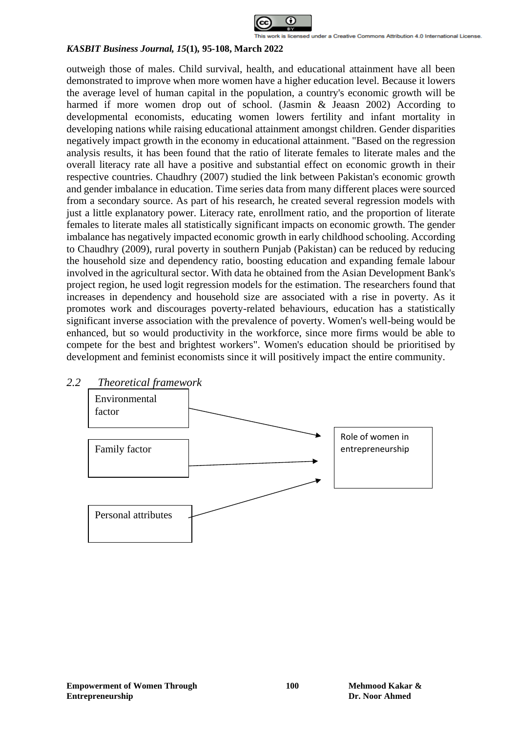

outweigh those of males. Child survival, health, and educational attainment have all been demonstrated to improve when more women have a higher education level. Because it lowers the average level of human capital in the population, a country's economic growth will be harmed if more women drop out of school. (Jasmin & Jeaasn 2002) According to developmental economists, educating women lowers fertility and infant mortality in developing nations while raising educational attainment amongst children. Gender disparities negatively impact growth in the economy in educational attainment. "Based on the regression analysis results, it has been found that the ratio of literate females to literate males and the overall literacy rate all have a positive and substantial effect on economic growth in their respective countries. Chaudhry (2007) studied the link between Pakistan's economic growth and gender imbalance in education. Time series data from many different places were sourced from a secondary source. As part of his research, he created several regression models with just a little explanatory power. Literacy rate, enrollment ratio, and the proportion of literate females to literate males all statistically significant impacts on economic growth. The gender imbalance has negatively impacted economic growth in early childhood schooling. According to Chaudhry (2009), rural poverty in southern Punjab (Pakistan) can be reduced by reducing the household size and dependency ratio, boosting education and expanding female labour involved in the agricultural sector. With data he obtained from the Asian Development Bank's project region, he used logit regression models for the estimation. The researchers found that increases in dependency and household size are associated with a rise in poverty. As it promotes work and discourages poverty-related behaviours, education has a statistically significant inverse association with the prevalence of poverty. Women's well-being would be enhanced, but so would productivity in the workforce, since more firms would be able to compete for the best and brightest workers". Women's education should be prioritised by development and feminist economists since it will positively impact the entire community.

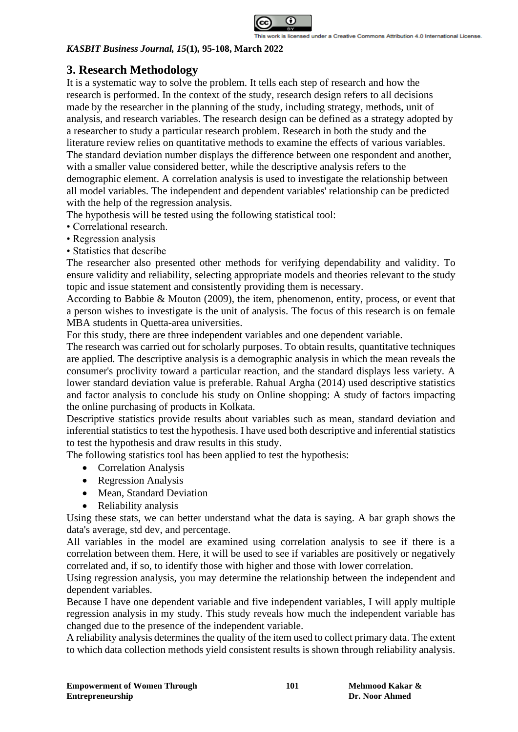

# **3. Research Methodology**

It is a systematic way to solve the problem. It tells each step of research and how the research is performed. In the context of the study, research design refers to all decisions made by the researcher in the planning of the study, including strategy, methods, unit of analysis, and research variables. The research design can be defined as a strategy adopted by a researcher to study a particular research problem. Research in both the study and the literature review relies on quantitative methods to examine the effects of various variables. The standard deviation number displays the difference between one respondent and another, with a smaller value considered better, while the descriptive analysis refers to the demographic element. A correlation analysis is used to investigate the relationship between all model variables. The independent and dependent variables' relationship can be predicted with the help of the regression analysis.

The hypothesis will be tested using the following statistical tool:

- Correlational research.
- Regression analysis
- Statistics that describe

The researcher also presented other methods for verifying dependability and validity. To ensure validity and reliability, selecting appropriate models and theories relevant to the study topic and issue statement and consistently providing them is necessary.

According to Babbie & Mouton (2009), the item, phenomenon, entity, process, or event that a person wishes to investigate is the unit of analysis. The focus of this research is on female MBA students in Quetta-area universities.

For this study, there are three independent variables and one dependent variable.

The research was carried out for scholarly purposes. To obtain results, quantitative techniques are applied. The descriptive analysis is a demographic analysis in which the mean reveals the consumer's proclivity toward a particular reaction, and the standard displays less variety. A lower standard deviation value is preferable. Rahual Argha (2014) used descriptive statistics and factor analysis to conclude his study on Online shopping: A study of factors impacting the online purchasing of products in Kolkata.

Descriptive statistics provide results about variables such as mean, standard deviation and inferential statistics to test the hypothesis. I have used both descriptive and inferential statistics to test the hypothesis and draw results in this study.

The following statistics tool has been applied to test the hypothesis:

- Correlation Analysis
- Regression Analysis
- Mean, Standard Deviation
- Reliability analysis

Using these stats, we can better understand what the data is saying. A bar graph shows the data's average, std dev, and percentage.

All variables in the model are examined using correlation analysis to see if there is a correlation between them. Here, it will be used to see if variables are positively or negatively correlated and, if so, to identify those with higher and those with lower correlation.

Using regression analysis, you may determine the relationship between the independent and dependent variables.

Because I have one dependent variable and five independent variables, I will apply multiple regression analysis in my study. This study reveals how much the independent variable has changed due to the presence of the independent variable.

A reliability analysis determines the quality of the item used to collect primary data. The extent to which data collection methods yield consistent results is shown through reliability analysis.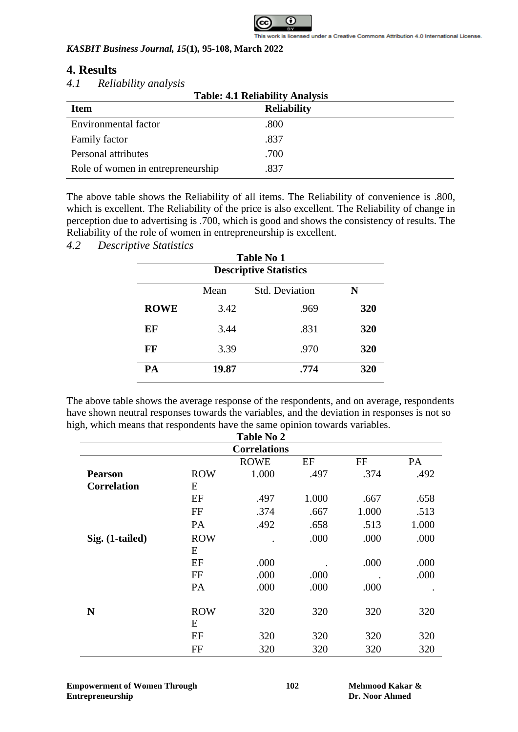

## **4. Results**

## *4.1 Reliability analysis*

| <b>Table: 4.1 Reliability Analysis</b> |                    |  |  |
|----------------------------------------|--------------------|--|--|
| <b>Item</b>                            | <b>Reliability</b> |  |  |
| <b>Environmental factor</b>            | .800               |  |  |
| Family factor                          | .837               |  |  |
| Personal attributes                    | .700               |  |  |
| Role of women in entrepreneurship      | .837               |  |  |

The above table shows the Reliability of all items. The Reliability of convenience is .800, which is excellent. The Reliability of the price is also excellent. The Reliability of change in perception due to advertising is .700, which is good and shows the consistency of results. The Reliability of the role of women in entrepreneurship is excellent.

*4.2 Descriptive Statistics*

|             | <b>Table No 1</b>             |                       |     |  |  |  |
|-------------|-------------------------------|-----------------------|-----|--|--|--|
|             | <b>Descriptive Statistics</b> |                       |     |  |  |  |
|             | Mean                          | <b>Std. Deviation</b> | N   |  |  |  |
| <b>ROWE</b> | 3.42                          | .969                  | 320 |  |  |  |
| EF          | 3.44                          | .831                  | 320 |  |  |  |
| FF          | 3.39                          | .970                  | 320 |  |  |  |
| PA          | 19.87                         | .774                  | 320 |  |  |  |

The above table shows the average response of the respondents, and on average, respondents have shown neutral responses towards the variables, and the deviation in responses is not so high, which means that respondents have the same opinion towards variables. **Table No 2**

| <b>TADIE NO 4</b>   |                 |             |       |       |       |  |
|---------------------|-----------------|-------------|-------|-------|-------|--|
| <b>Correlations</b> |                 |             |       |       |       |  |
|                     |                 | <b>ROWE</b> | EF    | FF    | PA    |  |
| <b>Pearson</b>      | <b>ROW</b>      | 1.000       | .497  | .374  | .492  |  |
| <b>Correlation</b>  | E               |             |       |       |       |  |
|                     | EF              | .497        | 1.000 | .667  | .658  |  |
|                     | FF              | .374        | .667  | 1.000 | .513  |  |
|                     | PA              | .492        | .658  | .513  | 1.000 |  |
| Sig. (1-tailed)     | <b>ROW</b>      |             | .000  | .000  | .000  |  |
|                     | E               |             |       |       |       |  |
|                     | EF              | .000        |       | .000  | .000  |  |
|                     | FF              | .000        | .000  |       | .000  |  |
|                     | PA              | .000        | .000  | .000  |       |  |
|                     |                 |             |       |       |       |  |
| N                   | <b>ROW</b><br>E | 320         | 320   | 320   | 320   |  |
|                     |                 |             |       |       |       |  |
|                     | EF              | 320         | 320   | 320   | 320   |  |
|                     | FF              | 320         | 320   | 320   | 320   |  |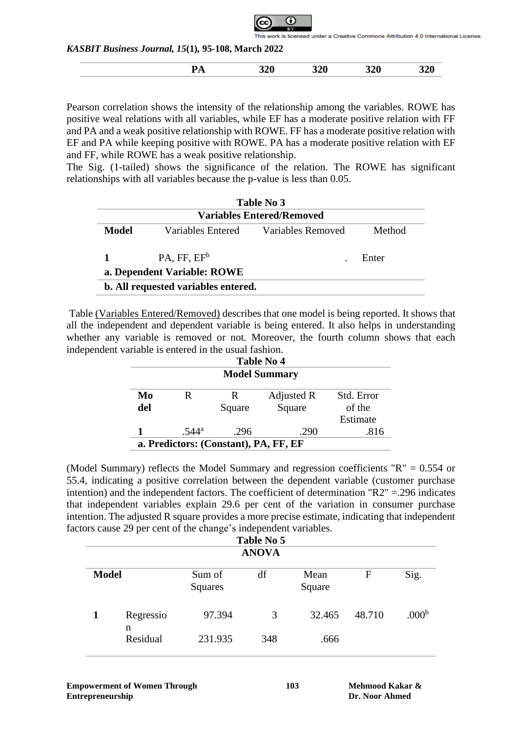is licensed under a Creative Commons Attribution 4.0 International License.

*KASBIT Business Journal, 15***(1)***,* **95-108, March 2022**

Pearson correlation shows the intensity of the relationship among the variables. ROWE has positive weal relations with all variables, while EF has a moderate positive relation with FF and PA and a weak positive relationship with ROWE. FF has a moderate positive relation with EF and PA while keeping positive with ROWE. PA has a moderate positive relation with EF and FF, while ROWE has a weak positive relationship.

The Sig. (1-tailed) shows the significance of the relation. The ROWE has significant relationships with all variables because the p-value is less than 0.05.

|                                            | Table No 3                       |                   |        |  |  |  |  |
|--------------------------------------------|----------------------------------|-------------------|--------|--|--|--|--|
|                                            | <b>Variables Entered/Removed</b> |                   |        |  |  |  |  |
| Model                                      | Variables Entered                | Variables Removed | Method |  |  |  |  |
|                                            | $PA, FF, EF^b$                   |                   | Enter  |  |  |  |  |
|                                            | a. Dependent Variable: ROWE      |                   |        |  |  |  |  |
| <b>b.</b> All requested variables entered. |                                  |                   |        |  |  |  |  |

Table (Variables Entered/Removed) describes that one model is being reported. It shows that all the independent and dependent variable is being entered. It also helps in understanding whether any variable is removed or not. Moreover, the fourth column shows that each independent variable is entered in the usual fashion.

|                                       | Table No 4     |        |            |            |  |  |  |
|---------------------------------------|----------------|--------|------------|------------|--|--|--|
| <b>Model Summary</b>                  |                |        |            |            |  |  |  |
| Mo                                    | R              | R      | Adjusted R | Std. Error |  |  |  |
| del                                   |                | Square | Square     | of the     |  |  |  |
|                                       | Estimate       |        |            |            |  |  |  |
|                                       | $.544^{\rm a}$ | .296   | .290       | .816       |  |  |  |
| a. Predictors: (Constant), PA, FF, EF |                |        |            |            |  |  |  |

(Model Summary) reflects the Model Summary and regression coefficients "R" = 0.554 or 55.4, indicating a positive correlation between the dependent variable (customer purchase intention) and the independent factors. The coefficient of determination "R2" =.296 indicates that independent variables explain 29.6 per cent of the variation in consumer purchase intention. The adjusted R square provides a more precise estimate, indicating that independent factors cause 29 per cent of the change's independent variables.

|              | Table No 5    |                   |     |                |        |                   |  |
|--------------|---------------|-------------------|-----|----------------|--------|-------------------|--|
|              | <b>ANOVA</b>  |                   |     |                |        |                   |  |
| <b>Model</b> |               | Sum of<br>Squares | df  | Mean<br>Square | F      | Sig.              |  |
|              | Regressio     | 97.394            | 3   | 32.465         | 48.710 | .000 <sup>b</sup> |  |
|              | n<br>Residual | 231.935           | 348 | .666           |        |                   |  |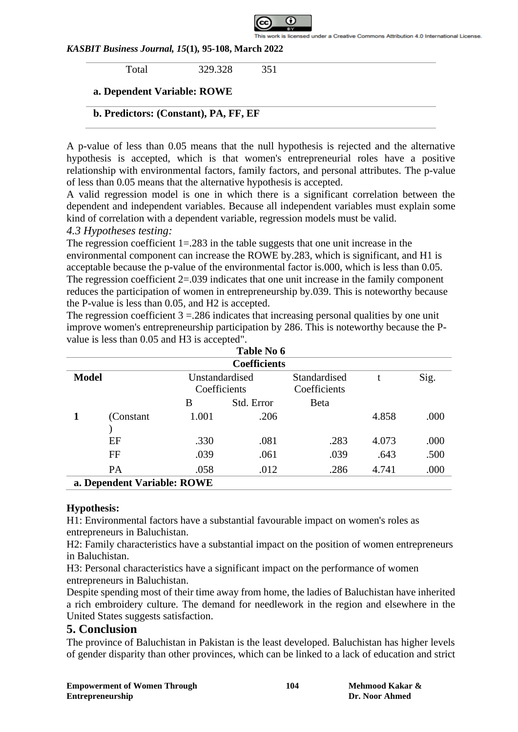

Total 329.328 351

## **a. Dependent Variable: ROWE**

## **b. Predictors: (Constant), PA, FF, EF**

A p-value of less than 0.05 means that the null hypothesis is rejected and the alternative hypothesis is accepted, which is that women's entrepreneurial roles have a positive relationship with environmental factors, family factors, and personal attributes. The p-value of less than 0.05 means that the alternative hypothesis is accepted.

A valid regression model is one in which there is a significant correlation between the dependent and independent variables. Because all independent variables must explain some kind of correlation with a dependent variable, regression models must be valid.

## *4.3 Hypotheses testing:*

The regression coefficient 1=.283 in the table suggests that one unit increase in the environmental component can increase the ROWE by.283, which is significant, and H1 is acceptable because the p-value of the environmental factor is.000, which is less than 0.05. The regression coefficient 2=.039 indicates that one unit increase in the family component reduces the participation of women in entrepreneurship by.039. This is noteworthy because the P-value is less than 0.05, and H2 is accepted.

The regression coefficient  $3 = 0.286$  indicates that increasing personal qualities by one unit improve women's entrepreneurship participation by 286. This is noteworthy because the Pvalue is less than 0.05 and H3 is accepted".

|                                                | Table No 6                  |       |                              |              |       |      |  |  |  |
|------------------------------------------------|-----------------------------|-------|------------------------------|--------------|-------|------|--|--|--|
|                                                | <b>Coefficients</b>         |       |                              |              |       |      |  |  |  |
| <b>Model</b><br>Unstandardised<br>Coefficients |                             |       | Standardised<br>Coefficients |              | Sig.  |      |  |  |  |
|                                                |                             | В     | Std. Error                   | <b>B</b> eta |       |      |  |  |  |
|                                                | (Constant)                  | 1.001 | .206                         |              | 4.858 | .000 |  |  |  |
|                                                |                             |       |                              |              |       |      |  |  |  |
|                                                | EF                          | .330  | .081                         | .283         | 4.073 | .000 |  |  |  |
|                                                | FF                          | .039  | .061                         | .039         | .643  | .500 |  |  |  |
|                                                | PA                          | .058  | .012                         | .286         | 4.741 | .000 |  |  |  |
|                                                | a. Dependent Variable: ROWE |       |                              |              |       |      |  |  |  |

## **Hypothesis:**

H1: Environmental factors have a substantial favourable impact on women's roles as entrepreneurs in Baluchistan.

H2: Family characteristics have a substantial impact on the position of women entrepreneurs in Baluchistan.

H3: Personal characteristics have a significant impact on the performance of women entrepreneurs in Baluchistan.

Despite spending most of their time away from home, the ladies of Baluchistan have inherited a rich embroidery culture. The demand for needlework in the region and elsewhere in the United States suggests satisfaction.

## **5. Conclusion**

The province of Baluchistan in Pakistan is the least developed. Baluchistan has higher levels of gender disparity than other provinces, which can be linked to a lack of education and strict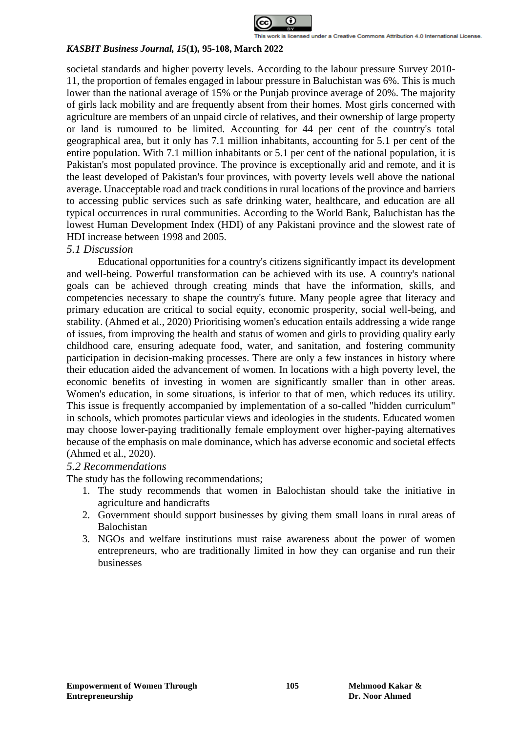

societal standards and higher poverty levels. According to the labour pressure Survey 2010- 11, the proportion of females engaged in labour pressure in Baluchistan was 6%. This is much lower than the national average of 15% or the Punjab province average of 20%. The majority of girls lack mobility and are frequently absent from their homes. Most girls concerned with agriculture are members of an unpaid circle of relatives, and their ownership of large property or land is rumoured to be limited. Accounting for 44 per cent of the country's total geographical area, but it only has 7.1 million inhabitants, accounting for 5.1 per cent of the entire population. With 7.1 million inhabitants or 5.1 per cent of the national population, it is Pakistan's most populated province. The province is exceptionally arid and remote, and it is the least developed of Pakistan's four provinces, with poverty levels well above the national average. Unacceptable road and track conditions in rural locations of the province and barriers to accessing public services such as safe drinking water, healthcare, and education are all typical occurrences in rural communities. According to the World Bank, Baluchistan has the lowest Human Development Index (HDI) of any Pakistani province and the slowest rate of HDI increase between 1998 and 2005.

## *5.1 Discussion*

Educational opportunities for a country's citizens significantly impact its development and well-being. Powerful transformation can be achieved with its use. A country's national goals can be achieved through creating minds that have the information, skills, and competencies necessary to shape the country's future. Many people agree that literacy and primary education are critical to social equity, economic prosperity, social well-being, and stability. (Ahmed et al., 2020) Prioritising women's education entails addressing a wide range of issues, from improving the health and status of women and girls to providing quality early childhood care, ensuring adequate food, water, and sanitation, and fostering community participation in decision-making processes. There are only a few instances in history where their education aided the advancement of women. In locations with a high poverty level, the economic benefits of investing in women are significantly smaller than in other areas. Women's education, in some situations, is inferior to that of men, which reduces its utility. This issue is frequently accompanied by implementation of a so-called "hidden curriculum" in schools, which promotes particular views and ideologies in the students. Educated women may choose lower-paying traditionally female employment over higher-paying alternatives because of the emphasis on male dominance, which has adverse economic and societal effects (Ahmed et al., 2020).

## *5.2 Recommendations*

The study has the following recommendations;

- 1. The study recommends that women in Balochistan should take the initiative in agriculture and handicrafts
- 2. Government should support businesses by giving them small loans in rural areas of Balochistan
- 3. NGOs and welfare institutions must raise awareness about the power of women entrepreneurs, who are traditionally limited in how they can organise and run their businesses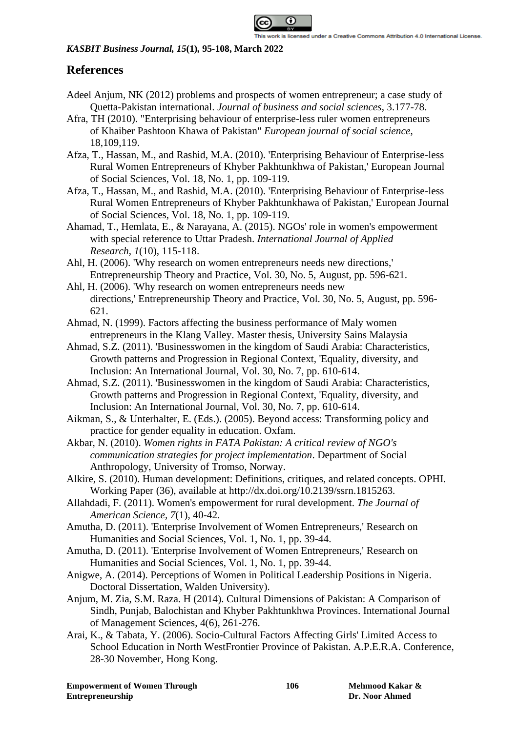

## **References**

- Adeel Anjum, NK (2012) problems and prospects of women entrepreneur; a case study of Quetta-Pakistan international. *Journal of business and social sciences*, 3.177-78.
- Afra, TH (2010). "Enterprising behaviour of enterprise-less ruler women entrepreneurs of Khaiber Pashtoon Khawa of Pakistan" *European journal of social science*, 18,109,119.
- Afza, T., Hassan, M., and Rashid, M.A. (2010). 'Enterprising Behaviour of Enterprise-less Rural Women Entrepreneurs of Khyber Pakhtunkhwa of Pakistan,' European Journal of Social Sciences, Vol. 18, No. 1, pp. 109-119.
- Afza, T., Hassan, M., and Rashid, M.A. (2010). 'Enterprising Behaviour of Enterprise-less Rural Women Entrepreneurs of Khyber Pakhtunkhawa of Pakistan,' European Journal of Social Sciences, Vol. 18, No. 1, pp. 109-119.
- Ahamad, T., Hemlata, E., & Narayana, A. (2015). NGOs' role in women's empowerment with special reference to Uttar Pradesh. *International Journal of Applied Research*, *1*(10), 115-118.
- Ahl, H. (2006). 'Why research on women entrepreneurs needs new directions,' Entrepreneurship Theory and Practice, Vol. 30, No. 5, August, pp. 596-621.
- Ahl, H. (2006). 'Why research on women entrepreneurs needs new directions,' Entrepreneurship Theory and Practice, Vol. 30, No. 5, August, pp. 596- 621.
- Ahmad, N. (1999). Factors affecting the business performance of Maly women entrepreneurs in the Klang Valley. Master thesis, University Sains Malaysia
- Ahmad, S.Z. (2011). 'Businesswomen in the kingdom of Saudi Arabia: Characteristics, Growth patterns and Progression in Regional Context, 'Equality, diversity, and Inclusion: An International Journal, Vol. 30, No. 7, pp. 610-614.
- Ahmad, S.Z. (2011). 'Businesswomen in the kingdom of Saudi Arabia: Characteristics, Growth patterns and Progression in Regional Context, 'Equality, diversity, and Inclusion: An International Journal, Vol. 30, No. 7, pp. 610-614.
- Aikman, S., & Unterhalter, E. (Eds.). (2005). Beyond access: Transforming policy and practice for gender equality in education. Oxfam.
- Akbar, N. (2010). *Women rights in FATA Pakistan: A critical review of NGO's communication strategies for project implementation*. Department of Social Anthropology, University of Tromso, Norway.
- Alkire, S. (2010). Human development: Definitions, critiques, and related concepts. OPHI. Working Paper (36), available at http://dx.doi.org/10.2139/ssrn.1815263.
- Allahdadi, F. (2011). Women's empowerment for rural development. *The Journal of American Science, 7*(1), 40-42*.*
- Amutha, D. (2011). 'Enterprise Involvement of Women Entrepreneurs,' Research on Humanities and Social Sciences, Vol. 1, No. 1, pp. 39-44.
- Amutha, D. (2011). 'Enterprise Involvement of Women Entrepreneurs,' Research on Humanities and Social Sciences, Vol. 1, No. 1, pp. 39-44.
- Anigwe, A. (2014). Perceptions of Women in Political Leadership Positions in Nigeria. Doctoral Dissertation, Walden University).
- Anjum, M. Zia, S.M. Raza. H (2014). Cultural Dimensions of Pakistan: A Comparison of Sindh, Punjab, Balochistan and Khyber Pakhtunkhwa Provinces. International Journal of Management Sciences, 4(6), 261-276.
- Arai, K., & Tabata, Y. (2006). Socio-Cultural Factors Affecting Girls' Limited Access to School Education in North WestFrontier Province of Pakistan. A.P.E.R.A. Conference, 28-30 November, Hong Kong.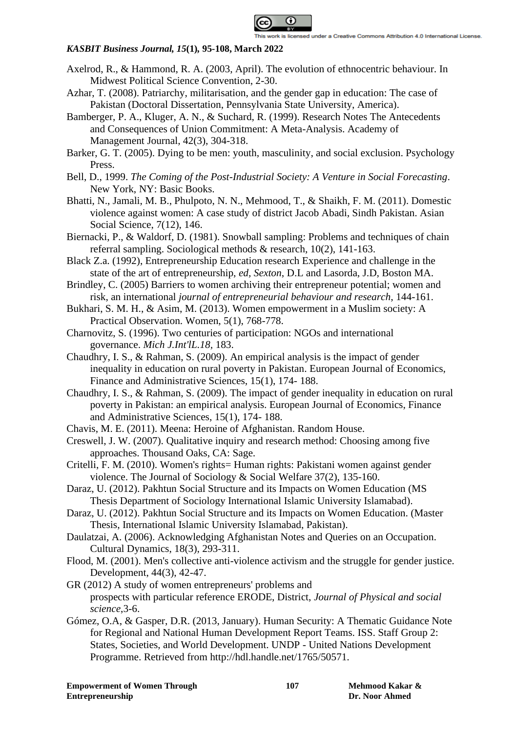

- Axelrod, R., & Hammond, R. A. (2003, April). The evolution of ethnocentric behaviour. In Midwest Political Science Convention, 2-30.
- Azhar, T. (2008). Patriarchy, militarisation, and the gender gap in education: The case of Pakistan (Doctoral Dissertation, Pennsylvania State University, America).
- Bamberger, P. A., Kluger, A. N., & Suchard, R. (1999). Research Notes The Antecedents and Consequences of Union Commitment: A Meta-Analysis. Academy of Management Journal, 42(3), 304-318.
- Barker, G. T. (2005). Dying to be men: youth, masculinity, and social exclusion. Psychology Press.
- Bell, D., 1999. *The Coming of the Post-Industrial Society: A Venture in Social Forecasting*. New York, NY: Basic Books.
- Bhatti, N., Jamali, M. B., Phulpoto, N. N., Mehmood, T., & Shaikh, F. M. (2011). Domestic violence against women: A case study of district Jacob Abadi, Sindh Pakistan. Asian Social Science, 7(12), 146.
- Biernacki, P., & Waldorf, D. (1981). Snowball sampling: Problems and techniques of chain referral sampling. Sociological methods & research, 10(2), 141-163.
- Black Z.a. (1992), Entrepreneurship Education research Experience and challenge in the state of the art of entrepreneurship, *ed, Sexton*, D.L and Lasorda, J.D, Boston MA.
- Brindley, C. (2005) Barriers to women archiving their entrepreneur potential; women and risk, an international *journal of entrepreneurial behaviour and research*, 144-161.
- Bukhari, S. M. H., & Asim, M. (2013). Women empowerment in a Muslim society: A Practical Observation. Women, 5(1), 768-778.
- Charnovitz, S. (1996). Two centuries of participation: NGOs and international governance. *Mich J.Int'lL.18,* 183.
- Chaudhry, I. S., & Rahman, S. (2009). An empirical analysis is the impact of gender inequality in education on rural poverty in Pakistan. European Journal of Economics, Finance and Administrative Sciences, 15(1), 174- 188.
- Chaudhry, I. S., & Rahman, S. (2009). The impact of gender inequality in education on rural poverty in Pakistan: an empirical analysis. European Journal of Economics, Finance and Administrative Sciences, 15(1), 174- 188.
- Chavis, M. E. (2011). Meena: Heroine of Afghanistan. Random House.
- Creswell, J. W. (2007). Qualitative inquiry and research method: Choosing among five approaches. Thousand Oaks, CA: Sage.
- Critelli, F. M. (2010). Women's rights= Human rights: Pakistani women against gender violence. The Journal of Sociology & Social Welfare 37(2), 135-160.
- Daraz, U. (2012). Pakhtun Social Structure and its Impacts on Women Education (MS Thesis Department of Sociology International Islamic University Islamabad).
- Daraz, U. (2012). Pakhtun Social Structure and its Impacts on Women Education. (Master Thesis, International Islamic University Islamabad, Pakistan).
- Daulatzai, A. (2006). Acknowledging Afghanistan Notes and Queries on an Occupation. Cultural Dynamics, 18(3), 293-311.
- Flood, M. (2001). Men's collective anti-violence activism and the struggle for gender justice. Development, 44(3), 42-47.
- GR (2012) A study of women entrepreneurs' problems and prospects with particular reference ERODE, District, *Journal of Physical and social science*,3-6.
- Gómez, O.A, & Gasper, D.R. (2013, January). Human Security: A Thematic Guidance Note for Regional and National Human Development Report Teams. ISS. Staff Group 2: States, Societies, and World Development. UNDP - United Nations Development Programme. Retrieved from http://hdl.handle.net/1765/50571.